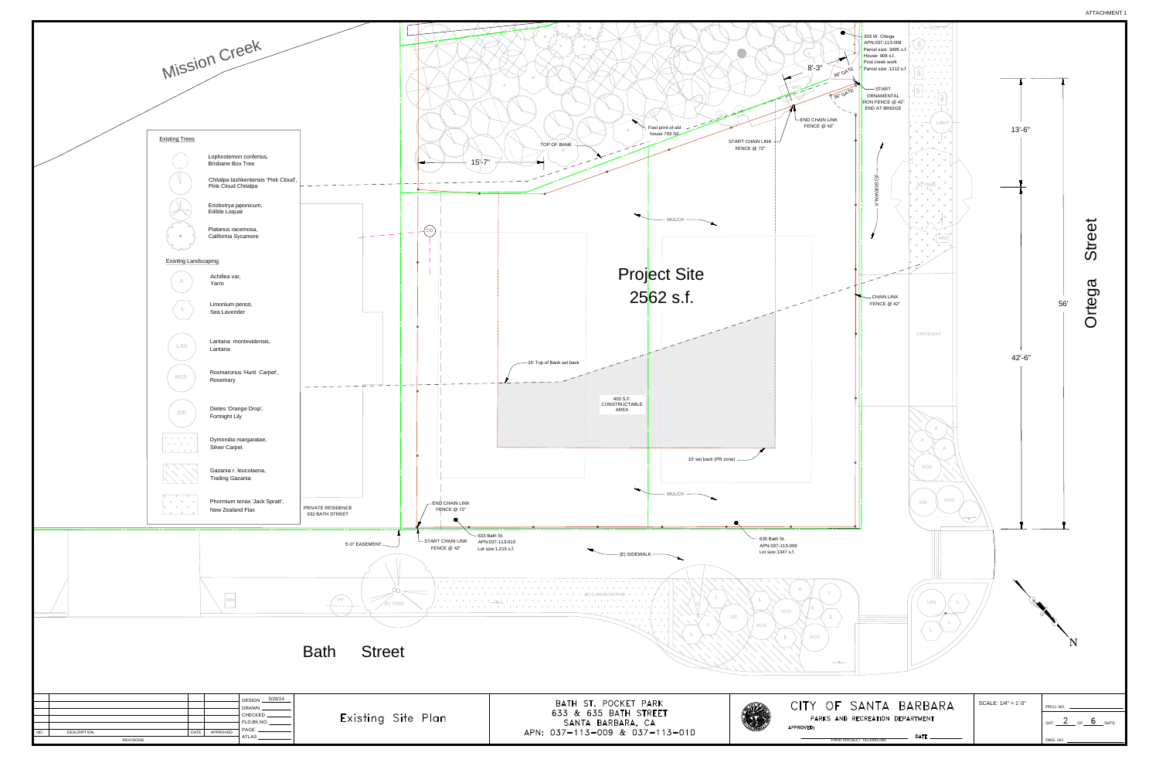

| ite Fian |  |
|----------|--|
|          |  |